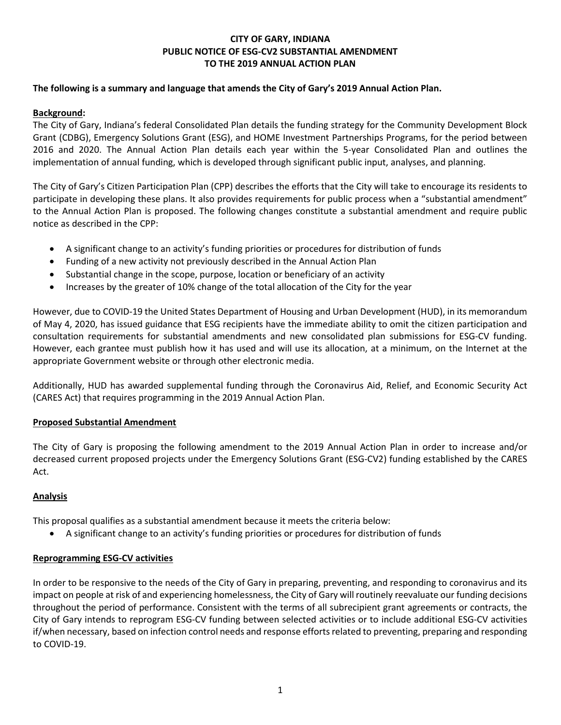# CITY OF GARY, INDIANA PUBLIC NOTICE OF ESG-CV2 SUBSTANTIAL AMENDMENT TO THE 2019 ANNUAL ACTION PLAN

### The following is a summary and language that amends the City of Gary's 2019 Annual Action Plan.

### Background:

The City of Gary, Indiana's federal Consolidated Plan details the funding strategy for the Community Development Block Grant (CDBG), Emergency Solutions Grant (ESG), and HOME Investment Partnerships Programs, for the period between 2016 and 2020. The Annual Action Plan details each year within the 5-year Consolidated Plan and outlines the implementation of annual funding, which is developed through significant public input, analyses, and planning.

The City of Gary's Citizen Participation Plan (CPP) describes the efforts that the City will take to encourage its residents to participate in developing these plans. It also provides requirements for public process when a "substantial amendment" to the Annual Action Plan is proposed. The following changes constitute a substantial amendment and require public notice as described in the CPP:

- A significant change to an activity's funding priorities or procedures for distribution of funds
- Funding of a new activity not previously described in the Annual Action Plan
- Substantial change in the scope, purpose, location or beneficiary of an activity
- Increases by the greater of 10% change of the total allocation of the City for the year

However, due to COVID-19 the United States Department of Housing and Urban Development (HUD), in its memorandum of May 4, 2020, has issued guidance that ESG recipients have the immediate ability to omit the citizen participation and consultation requirements for substantial amendments and new consolidated plan submissions for ESG-CV funding. However, each grantee must publish how it has used and will use its allocation, at a minimum, on the Internet at the appropriate Government website or through other electronic media.

Additionally, HUD has awarded supplemental funding through the Coronavirus Aid, Relief, and Economic Security Act (CARES Act) that requires programming in the 2019 Annual Action Plan.

#### Proposed Substantial Amendment

The City of Gary is proposing the following amendment to the 2019 Annual Action Plan in order to increase and/or decreased current proposed projects under the Emergency Solutions Grant (ESG-CV2) funding established by the CARES Act.

# Analysis

This proposal qualifies as a substantial amendment because it meets the criteria below:

A significant change to an activity's funding priorities or procedures for distribution of funds

# Reprogramming ESG-CV activities

In order to be responsive to the needs of the City of Gary in preparing, preventing, and responding to coronavirus and its impact on people at risk of and experiencing homelessness, the City of Gary will routinely reevaluate our funding decisions throughout the period of performance. Consistent with the terms of all subrecipient grant agreements or contracts, the City of Gary intends to reprogram ESG-CV funding between selected activities or to include additional ESG-CV activities if/when necessary, based on infection control needs and response efforts related to preventing, preparing and responding to COVID-19.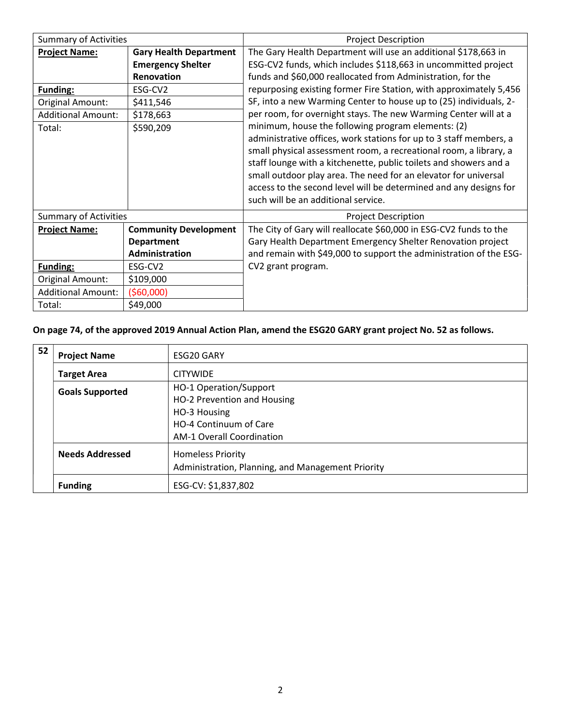| <b>Summary of Activities</b> |                               | <b>Project Description</b>                                                                                                                                                                                                                                                                                                                                                                                                                        |
|------------------------------|-------------------------------|---------------------------------------------------------------------------------------------------------------------------------------------------------------------------------------------------------------------------------------------------------------------------------------------------------------------------------------------------------------------------------------------------------------------------------------------------|
| <b>Project Name:</b>         | <b>Gary Health Department</b> | The Gary Health Department will use an additional \$178,663 in                                                                                                                                                                                                                                                                                                                                                                                    |
|                              | <b>Emergency Shelter</b>      | ESG-CV2 funds, which includes \$118,663 in uncommitted project                                                                                                                                                                                                                                                                                                                                                                                    |
|                              | Renovation                    | funds and \$60,000 reallocated from Administration, for the                                                                                                                                                                                                                                                                                                                                                                                       |
| <b>Funding:</b>              | ESG-CV2                       | repurposing existing former Fire Station, with approximately 5,456                                                                                                                                                                                                                                                                                                                                                                                |
| Original Amount:             | \$411,546                     | SF, into a new Warming Center to house up to (25) individuals, 2-                                                                                                                                                                                                                                                                                                                                                                                 |
| <b>Additional Amount:</b>    | \$178,663                     | per room, for overnight stays. The new Warming Center will at a                                                                                                                                                                                                                                                                                                                                                                                   |
| Total:                       | \$590,209                     | minimum, house the following program elements: (2)<br>administrative offices, work stations for up to 3 staff members, a<br>small physical assessment room, a recreational room, a library, a<br>staff lounge with a kitchenette, public toilets and showers and a<br>small outdoor play area. The need for an elevator for universal<br>access to the second level will be determined and any designs for<br>such will be an additional service. |
| <b>Summary of Activities</b> |                               | <b>Project Description</b>                                                                                                                                                                                                                                                                                                                                                                                                                        |
| <b>Project Name:</b>         | <b>Community Development</b>  | The City of Gary will reallocate \$60,000 in ESG-CV2 funds to the                                                                                                                                                                                                                                                                                                                                                                                 |
|                              | <b>Department</b>             | Gary Health Department Emergency Shelter Renovation project                                                                                                                                                                                                                                                                                                                                                                                       |
|                              | Administration                | and remain with \$49,000 to support the administration of the ESG-                                                                                                                                                                                                                                                                                                                                                                                |
| <b>Funding:</b>              | ESG-CV2                       | CV2 grant program.                                                                                                                                                                                                                                                                                                                                                                                                                                |
| Original Amount:             | \$109,000                     |                                                                                                                                                                                                                                                                                                                                                                                                                                                   |
| <b>Additional Amount:</b>    | (560,000)                     |                                                                                                                                                                                                                                                                                                                                                                                                                                                   |
| Total:                       | \$49,000                      |                                                                                                                                                                                                                                                                                                                                                                                                                                                   |

On page 74, of the approved 2019 Annual Action Plan, amend the ESG20 GARY grant project No. 52 as follows.

| 52                                                | <b>Project Name</b>    | ESG20 GARY                             |  |
|---------------------------------------------------|------------------------|----------------------------------------|--|
|                                                   | <b>Target Area</b>     | <b>CITYWIDE</b>                        |  |
|                                                   | <b>Goals Supported</b> | HO-1 Operation/Support                 |  |
|                                                   |                        | HO-2 Prevention and Housing            |  |
|                                                   |                        | HO-3 Housing<br>HO-4 Continuum of Care |  |
|                                                   |                        |                                        |  |
|                                                   |                        | <b>AM-1 Overall Coordination</b>       |  |
|                                                   | <b>Needs Addressed</b> | <b>Homeless Priority</b>               |  |
| Administration, Planning, and Management Priority |                        |                                        |  |
|                                                   | <b>Funding</b>         | ESG-CV: \$1,837,802                    |  |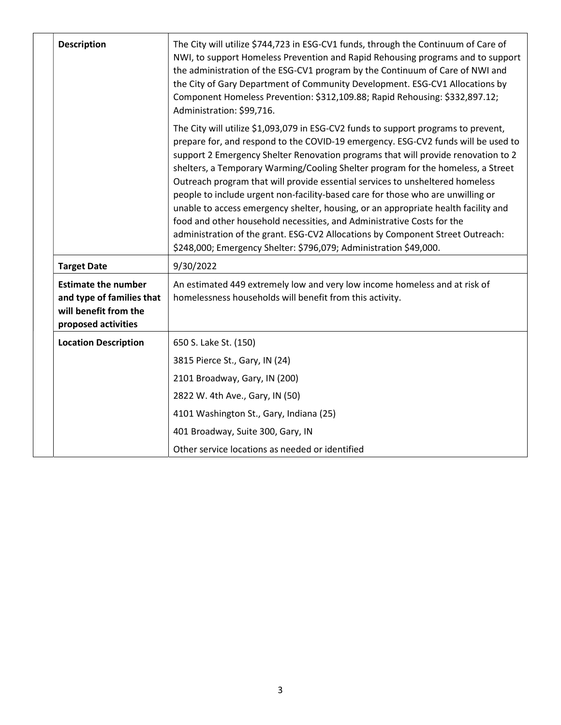| <b>Description</b>                                                                                      | The City will utilize \$744,723 in ESG-CV1 funds, through the Continuum of Care of<br>NWI, to support Homeless Prevention and Rapid Rehousing programs and to support<br>the administration of the ESG-CV1 program by the Continuum of Care of NWI and<br>the City of Gary Department of Community Development. ESG-CV1 Allocations by<br>Component Homeless Prevention: \$312,109.88; Rapid Rehousing: \$332,897.12;<br>Administration: \$99,716.                                                                                                                                                                                                                                                                                                                                                                                          |  |
|---------------------------------------------------------------------------------------------------------|---------------------------------------------------------------------------------------------------------------------------------------------------------------------------------------------------------------------------------------------------------------------------------------------------------------------------------------------------------------------------------------------------------------------------------------------------------------------------------------------------------------------------------------------------------------------------------------------------------------------------------------------------------------------------------------------------------------------------------------------------------------------------------------------------------------------------------------------|--|
|                                                                                                         | The City will utilize \$1,093,079 in ESG-CV2 funds to support programs to prevent,<br>prepare for, and respond to the COVID-19 emergency. ESG-CV2 funds will be used to<br>support 2 Emergency Shelter Renovation programs that will provide renovation to 2<br>shelters, a Temporary Warming/Cooling Shelter program for the homeless, a Street<br>Outreach program that will provide essential services to unsheltered homeless<br>people to include urgent non-facility-based care for those who are unwilling or<br>unable to access emergency shelter, housing, or an appropriate health facility and<br>food and other household necessities, and Administrative Costs for the<br>administration of the grant. ESG-CV2 Allocations by Component Street Outreach:<br>\$248,000; Emergency Shelter: \$796,079; Administration \$49,000. |  |
| <b>Target Date</b>                                                                                      | 9/30/2022                                                                                                                                                                                                                                                                                                                                                                                                                                                                                                                                                                                                                                                                                                                                                                                                                                   |  |
| <b>Estimate the number</b><br>and type of families that<br>will benefit from the<br>proposed activities | An estimated 449 extremely low and very low income homeless and at risk of<br>homelessness households will benefit from this activity.                                                                                                                                                                                                                                                                                                                                                                                                                                                                                                                                                                                                                                                                                                      |  |
| <b>Location Description</b>                                                                             | 650 S. Lake St. (150)                                                                                                                                                                                                                                                                                                                                                                                                                                                                                                                                                                                                                                                                                                                                                                                                                       |  |
|                                                                                                         | 3815 Pierce St., Gary, IN (24)                                                                                                                                                                                                                                                                                                                                                                                                                                                                                                                                                                                                                                                                                                                                                                                                              |  |
|                                                                                                         | 2101 Broadway, Gary, IN (200)                                                                                                                                                                                                                                                                                                                                                                                                                                                                                                                                                                                                                                                                                                                                                                                                               |  |
|                                                                                                         | 2822 W. 4th Ave., Gary, IN (50)                                                                                                                                                                                                                                                                                                                                                                                                                                                                                                                                                                                                                                                                                                                                                                                                             |  |
|                                                                                                         | 4101 Washington St., Gary, Indiana (25)                                                                                                                                                                                                                                                                                                                                                                                                                                                                                                                                                                                                                                                                                                                                                                                                     |  |
|                                                                                                         | 401 Broadway, Suite 300, Gary, IN                                                                                                                                                                                                                                                                                                                                                                                                                                                                                                                                                                                                                                                                                                                                                                                                           |  |
|                                                                                                         | Other service locations as needed or identified                                                                                                                                                                                                                                                                                                                                                                                                                                                                                                                                                                                                                                                                                                                                                                                             |  |